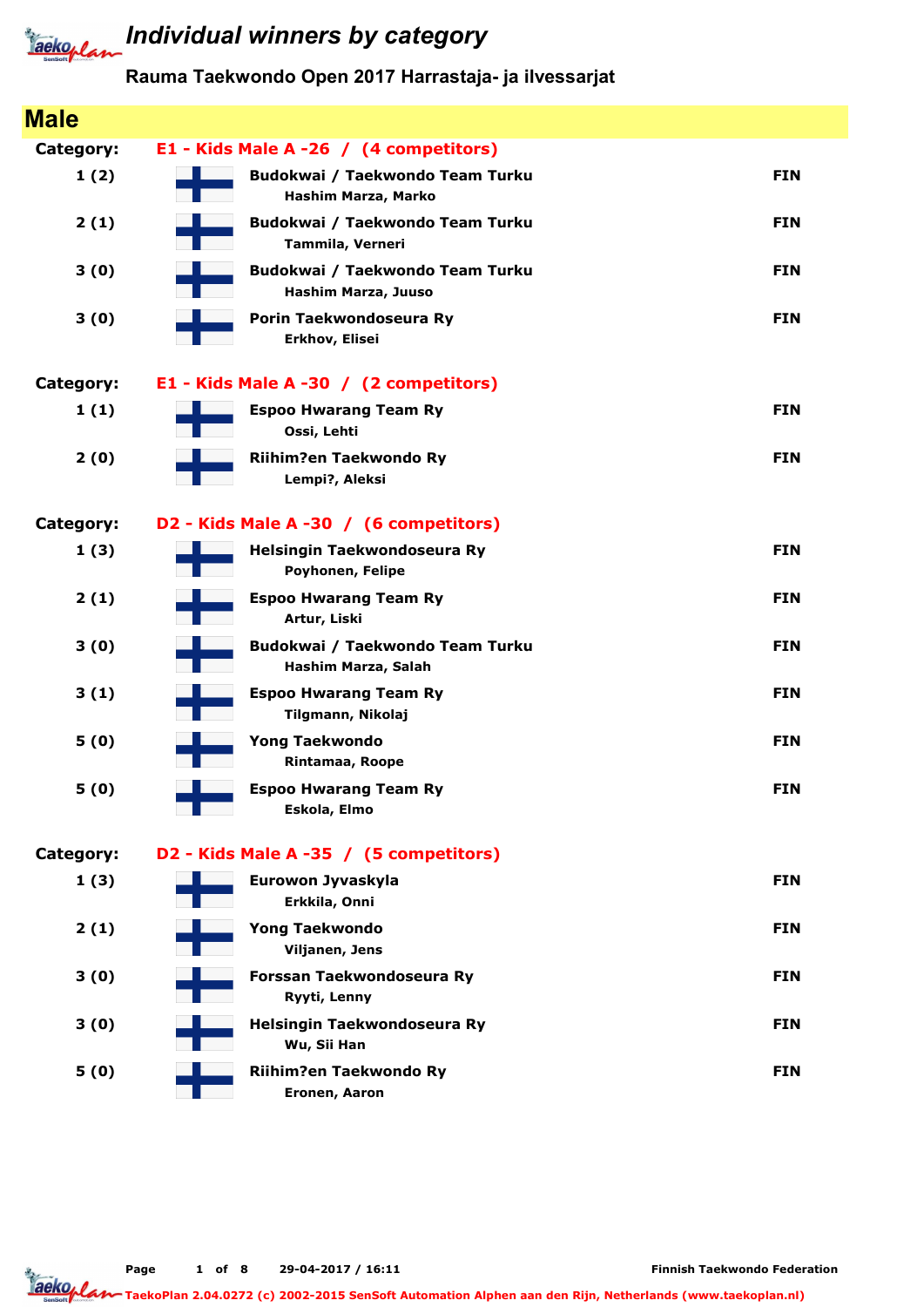

# **Jackoplan** Individual winners by category

#### Rauma Taekwondo Open 2017 Harrastaja- ja ilvessarjat

| <b>Male</b>      |                                                        |            |
|------------------|--------------------------------------------------------|------------|
| Category:        | E1 - Kids Male A -26 / (4 competitors)                 |            |
| 1(2)             | Budokwai / Taekwondo Team Turku<br>Hashim Marza, Marko | <b>FIN</b> |
| 2(1)             | Budokwai / Taekwondo Team Turku<br>Tammila, Verneri    | <b>FIN</b> |
| 3(0)             | Budokwai / Taekwondo Team Turku<br>Hashim Marza, Juuso | <b>FIN</b> |
| 3(0)             | Porin Taekwondoseura Ry<br>Erkhov, Elisei              | <b>FIN</b> |
| <b>Category:</b> | E1 - Kids Male A -30 / (2 competitors)                 |            |
| 1(1)             | <b>Espoo Hwarang Team Ry</b><br>Ossi, Lehti            | <b>FIN</b> |
| 2(0)             | Riihim?en Taekwondo Ry<br>Lempi?, Aleksi               | <b>FIN</b> |
| <b>Category:</b> | D2 - Kids Male A -30 / (6 competitors)                 |            |
| 1(3)             | Helsingin Taekwondoseura Ry<br>Poyhonen, Felipe        | <b>FIN</b> |
| 2(1)             | <b>Espoo Hwarang Team Ry</b><br>Artur, Liski           | <b>FIN</b> |
| 3(0)             | Budokwai / Taekwondo Team Turku<br>Hashim Marza, Salah | <b>FIN</b> |
| 3(1)             | <b>Espoo Hwarang Team Ry</b><br>Tilgmann, Nikolaj      | <b>FIN</b> |
| 5(0)             | <b>Yong Taekwondo</b><br>Rintamaa, Roope               | <b>FIN</b> |
| 5(0)             | <b>Espoo Hwarang Team Ry</b><br>Eskola, Elmo           | <b>FIN</b> |
| Category:        | D2 - Kids Male A -35 / (5 competitors)                 |            |
| 1(3)             | Eurowon Jyvaskyla<br>Erkkila, Onni                     | <b>FIN</b> |
| 2(1)             | <b>Yong Taekwondo</b><br>Viljanen, Jens                | <b>FIN</b> |
| 3(0)             | Forssan Taekwondoseura Ry<br>Ryyti, Lenny              | <b>FIN</b> |
| 3(0)             | Helsingin Taekwondoseura Ry<br>Wu, Sii Han             | <b>FIN</b> |
| 5(0)             | Riihim?en Taekwondo Ry<br>Eronen, Aaron                | <b>FIN</b> |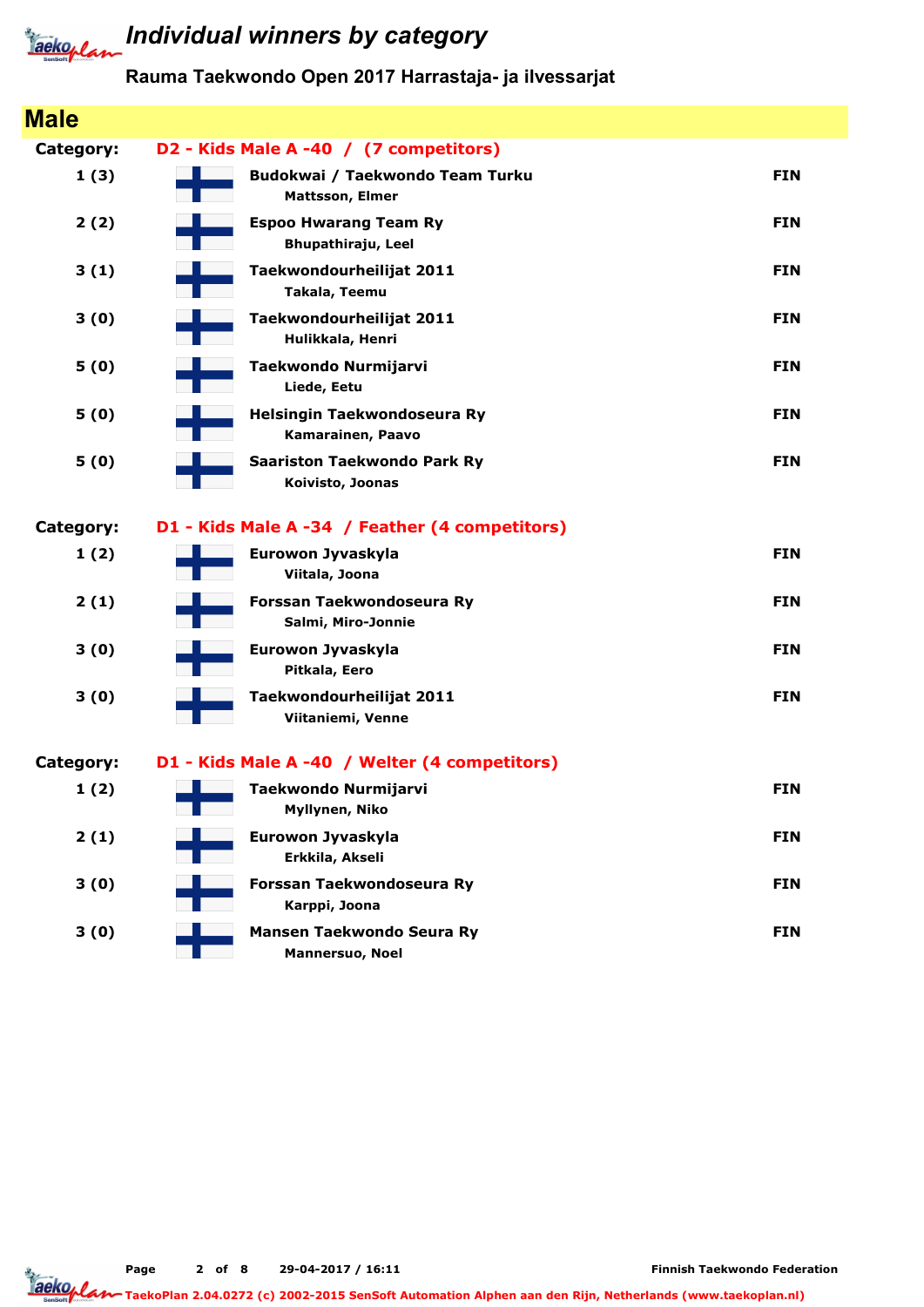

#### Rauma Taekwondo Open 2017 Harrastaja- ja ilvessarjat

| <b>Male</b> |                                                           |            |
|-------------|-----------------------------------------------------------|------------|
| Category:   | D2 - Kids Male A -40 / (7 competitors)                    |            |
| 1(3)        | Budokwai / Taekwondo Team Turku<br><b>Mattsson, Elmer</b> | <b>FIN</b> |
| 2(2)        | <b>Espoo Hwarang Team Ry</b><br>Bhupathiraju, Leel        | <b>FIN</b> |
| 3(1)        | Taekwondourheilijat 2011<br>Takala, Teemu                 | <b>FIN</b> |
| 3(0)        | Taekwondourheilijat 2011<br>Hulikkala, Henri              | <b>FIN</b> |
| 5(0)        | Taekwondo Nurmijarvi<br>Liede, Eetu                       | <b>FIN</b> |
| 5(0)        | Helsingin Taekwondoseura Ry<br>Kamarainen, Paavo          | <b>FIN</b> |
| 5(0)        | <b>Saariston Taekwondo Park Ry</b><br>Koivisto, Joonas    | <b>FIN</b> |
| Category:   | D1 - Kids Male A -34 / Feather (4 competitors)            |            |
| 1(2)        | Eurowon Jyvaskyla<br>Viitala, Joona                       | <b>FIN</b> |
| 2(1)        | Forssan Taekwondoseura Ry<br>Salmi, Miro-Jonnie           | <b>FIN</b> |
| 3(0)        | Eurowon Jyvaskyla<br>Pitkala, Eero                        | <b>FIN</b> |
| 3(0)        | Taekwondourheilijat 2011<br>Viitaniemi, Venne             | <b>FIN</b> |
| Category:   | D1 - Kids Male A -40 / Welter (4 competitors)             |            |
| 1(2)        | Taekwondo Nurmijarvi<br>Myllynen, Niko                    | <b>FIN</b> |
| 2(1)        | Eurowon Jyvaskyla<br>Erkkila, Akseli                      | <b>FIN</b> |
| 3(0)        | Forssan Taekwondoseura Ry<br>Karppi, Joona                | <b>FIN</b> |
| 3(0)        | Mansen Taekwondo Seura Ry<br>Mannersuo, Noel              | <b>FIN</b> |

Page 2 of 8 29-04-2017 / 16:11

Finnish Taekwondo Federation

TaekoPlan 2.04.0272 (c) 2002-2015 SenSoft Automation Alphen aan den Rijn, Netherlands (www.taekoplan.nl)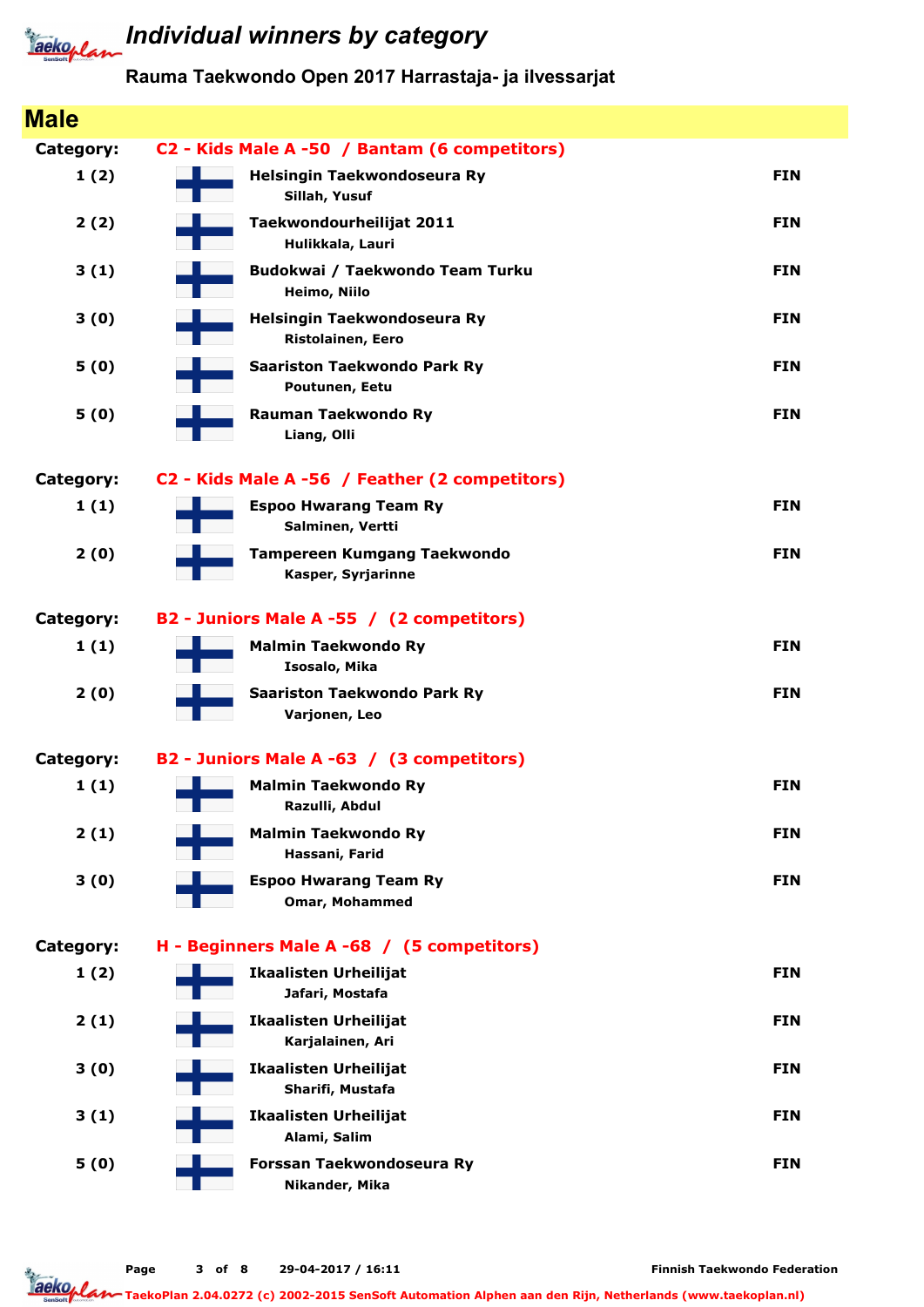

#### Rauma Taekwondo Open 2017 Harrastaja- ja ilvessarjat

| <b>Male</b> |                                                                |            |
|-------------|----------------------------------------------------------------|------------|
| Category:   | C2 - Kids Male A -50 / Bantam (6 competitors)                  |            |
| 1(2)        | Helsingin Taekwondoseura Ry<br>Sillah, Yusuf                   | <b>FIN</b> |
| 2(2)        | Taekwondourheilijat 2011<br>Hulikkala, Lauri                   | <b>FIN</b> |
| 3(1)        | Budokwai / Taekwondo Team Turku<br>Heimo, Niilo                | <b>FIN</b> |
| 3(0)        | Helsingin Taekwondoseura Ry<br>Ristolainen, Eero               | <b>FIN</b> |
| 5(0)        | <b>Saariston Taekwondo Park Ry</b><br>Poutunen, Eetu           | <b>FIN</b> |
| 5(0)        | <b>Rauman Taekwondo Ry</b><br>Liang, Olli                      | <b>FIN</b> |
| Category:   | C2 - Kids Male A -56 / Feather (2 competitors)                 |            |
| 1(1)        | <b>Espoo Hwarang Team Ry</b><br>Salminen, Vertti               | <b>FIN</b> |
| 2(0)        | <b>Tampereen Kumgang Taekwondo</b><br>Kasper, Syrjarinne       | <b>FIN</b> |
| Category:   | B2 - Juniors Male A -55 / (2 competitors)                      |            |
| 1(1)        | <b>Malmin Taekwondo Ry</b><br>Isosalo, Mika                    | <b>FIN</b> |
| 2(0)        | <b>Saariston Taekwondo Park Ry</b><br>Varjonen, Leo            | <b>FIN</b> |
| Category:   | B2 - Juniors Male A -63 / (3 competitors)                      |            |
| 1(1)        | <b>Malmin Taekwondo Ry</b><br>Razulli, Abdul<br>$\sim 10^{11}$ | <b>FIN</b> |
| 2(1)        | <b>Malmin Taekwondo Ry</b><br>Hassani, Farid                   | <b>FIN</b> |
| 3(0)        | <b>Espoo Hwarang Team Ry</b><br><b>Omar, Mohammed</b>          | <b>FIN</b> |
| Category:   | H - Beginners Male A -68 / (5 competitors)                     |            |
| 1(2)        | <b>Ikaalisten Urheilijat</b><br>Jafari, Mostafa                | <b>FIN</b> |
| 2(1)        | <b>Ikaalisten Urheilijat</b><br>Karjalainen, Ari               | <b>FIN</b> |
| 3(0)        | <b>Ikaalisten Urheilijat</b><br>Sharifi, Mustafa               | <b>FIN</b> |
| 3(1)        | <b>Ikaalisten Urheilijat</b><br>Alami, Salim                   | <b>FIN</b> |
| 5(0)        | Forssan Taekwondoseura Ry<br>Nikander, Mika                    | <b>FIN</b> |

Finnish Taekwondo Federation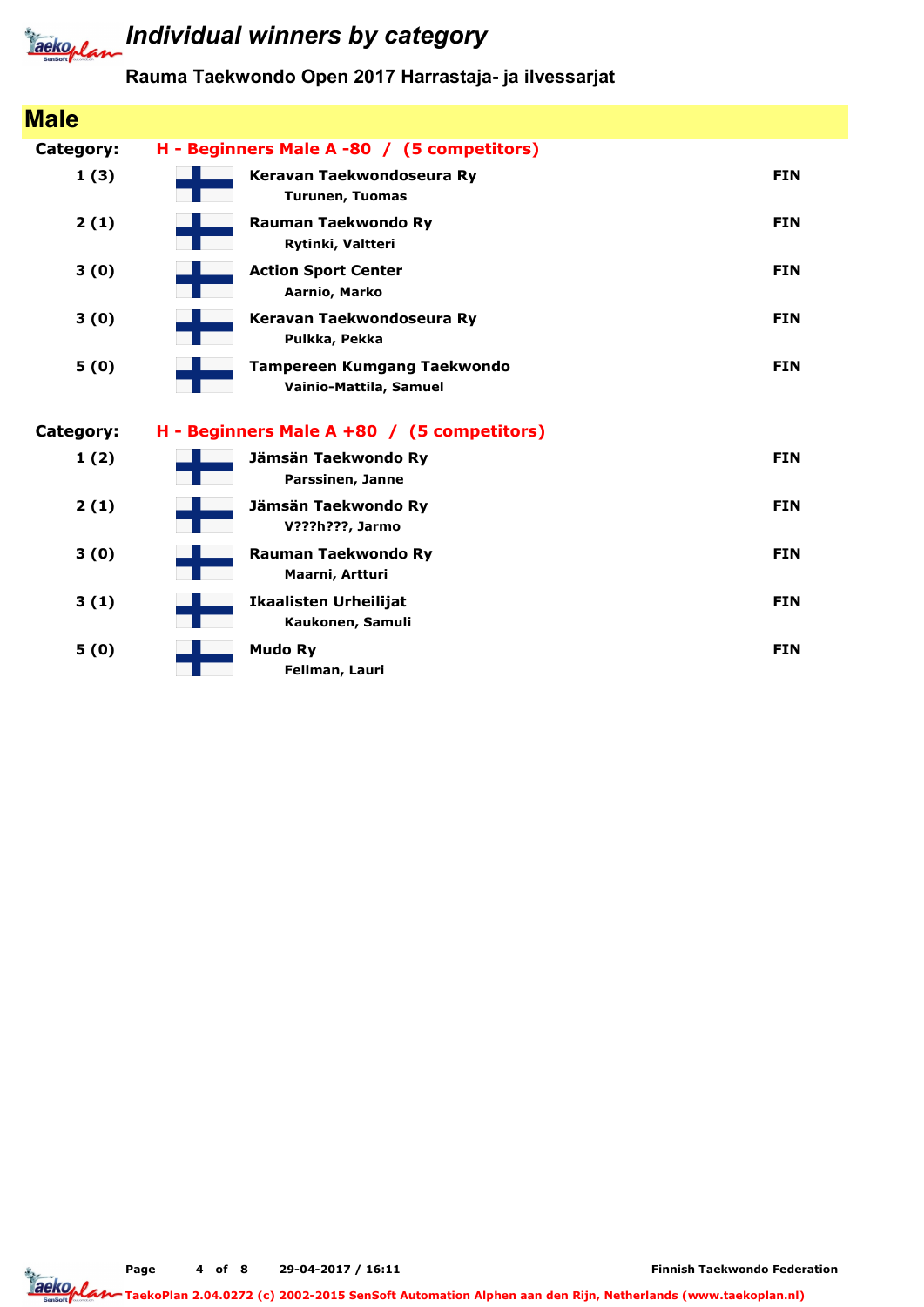

### **Taeko<sub>rlan</sub>** Individual winners by category

### Rauma Taekwondo Open 2017 Harrastaja- ja ilvessarjat

| <b>Male</b> |                                                              |            |
|-------------|--------------------------------------------------------------|------------|
| Category:   | H - Beginners Male A -80 / (5 competitors)                   |            |
| 1(3)        | Keravan Taekwondoseura Ry<br><b>Turunen, Tuomas</b>          | <b>FIN</b> |
| 2(1)        | Rauman Taekwondo Ry<br>Rytinki, Valtteri                     | <b>FIN</b> |
| 3(0)        | <b>Action Sport Center</b><br>Aarnio, Marko                  | <b>FIN</b> |
| 3(0)        | Keravan Taekwondoseura Ry<br>Pulkka, Pekka                   | <b>FIN</b> |
| 5(0)        | <b>Tampereen Kumgang Taekwondo</b><br>Vainio-Mattila, Samuel | <b>FIN</b> |
| Category:   | H - Beginners Male A +80 / (5 competitors)                   |            |
| 1(2)        | Jämsän Taekwondo Ry<br>Parssinen, Janne                      | <b>FIN</b> |
| 2(1)        | Jämsän Taekwondo Ry<br>V???h???, Jarmo                       | <b>FIN</b> |
| 3(0)        | <b>Rauman Taekwondo Ry</b><br>Maarni, Artturi                | <b>FIN</b> |
| 3(1)        | <b>Ikaalisten Urheilijat</b><br>Kaukonen, Samuli             | <b>FIN</b> |
| 5(0)        | <b>Mudo Ry</b><br>Fellman, Lauri                             | <b>FIN</b> |

Finnish Taekwondo Federation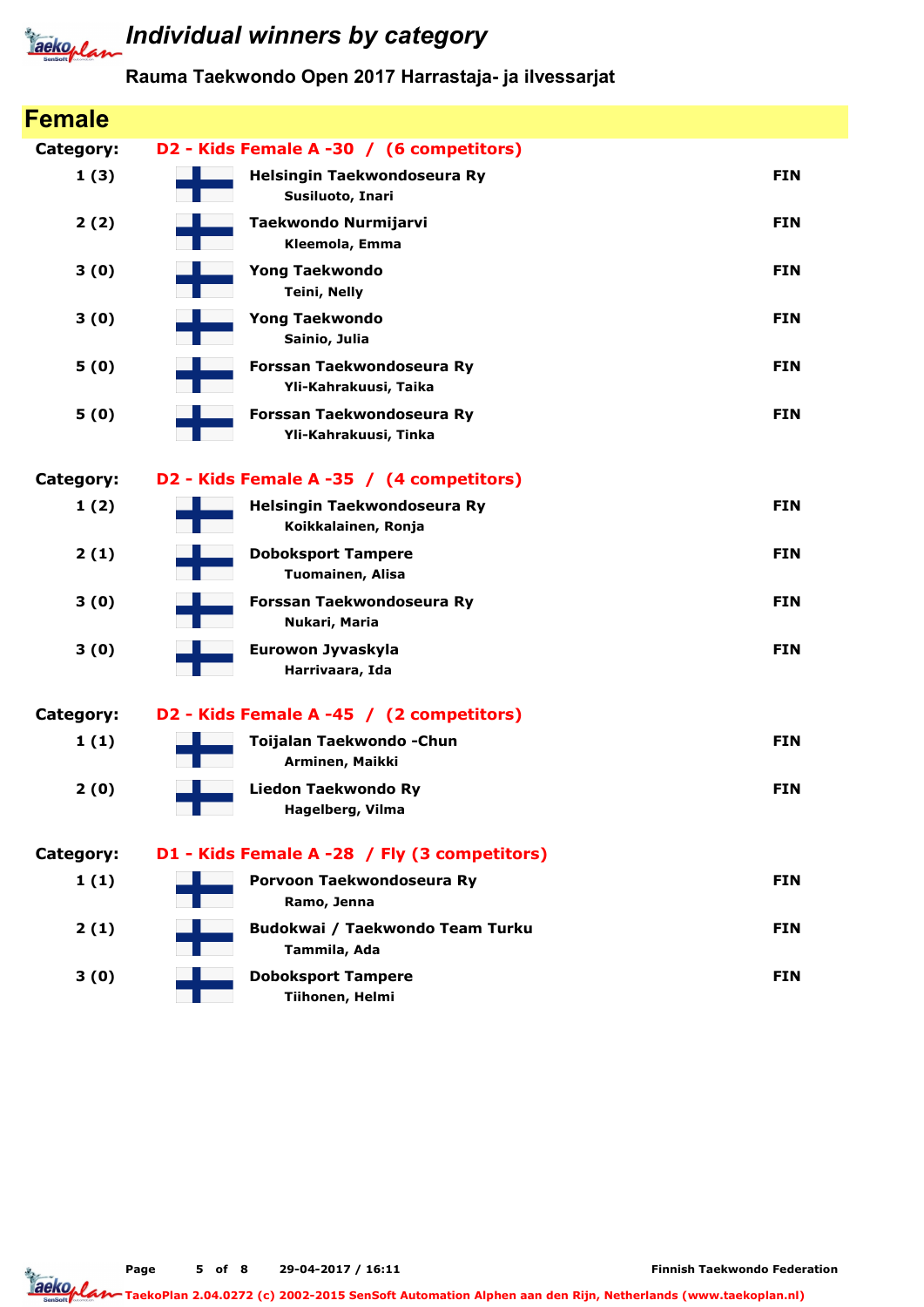

#### Rauma Taekwondo Open 2017 Harrastaja- ja ilvessarjat

| <b>Female</b>    |                                                    |            |
|------------------|----------------------------------------------------|------------|
| Category:        | D2 - Kids Female A -30 / (6 competitors)           |            |
| 1(3)             | Helsingin Taekwondoseura Ry<br>Susiluoto, Inari    | <b>FIN</b> |
| 2(2)             | Taekwondo Nurmijarvi<br>Kleemola, Emma             | <b>FIN</b> |
| 3(0)             | <b>Yong Taekwondo</b><br><b>Teini, Nelly</b>       | <b>FIN</b> |
| 3(0)             | <b>Yong Taekwondo</b><br>Sainio, Julia             | <b>FIN</b> |
| 5(0)             | Forssan Taekwondoseura Ry<br>Yli-Kahrakuusi, Taika | <b>FIN</b> |
| 5(0)             | Forssan Taekwondoseura Ry<br>Yli-Kahrakuusi, Tinka | <b>FIN</b> |
| Category:        | D2 - Kids Female A -35 / (4 competitors)           |            |
| 1(2)             | Helsingin Taekwondoseura Ry<br>Koikkalainen, Ronja | <b>FIN</b> |
| 2(1)             | <b>Doboksport Tampere</b><br>Tuomainen, Alisa      | <b>FIN</b> |
| 3(0)             | Forssan Taekwondoseura Ry<br>Nukari, Maria         | <b>FIN</b> |
| 3(0)             | Eurowon Jyvaskyla<br>Harrivaara, Ida               | <b>FIN</b> |
| Category:        | D2 - Kids Female A -45 / (2 competitors)           |            |
| 1(1)             | Toijalan Taekwondo - Chun<br>Arminen, Maikki       | <b>FIN</b> |
| 2(0)             | <b>Liedon Taekwondo Ry</b><br>Hagelberg, Vilma     | <b>FIN</b> |
| <b>Category:</b> | D1 - Kids Female A -28 / Fly (3 competitors)       |            |
| 1(1)             | Porvoon Taekwondoseura Ry<br>Ramo, Jenna           | <b>FIN</b> |
| 2(1)             | Budokwai / Taekwondo Team Turku<br>Tammila, Ada    | <b>FIN</b> |
| 3(0)             | <b>Doboksport Tampere</b><br>Tiihonen, Helmi       | <b>FIN</b> |

Page 5 of 8 29-04-2017 / 16:11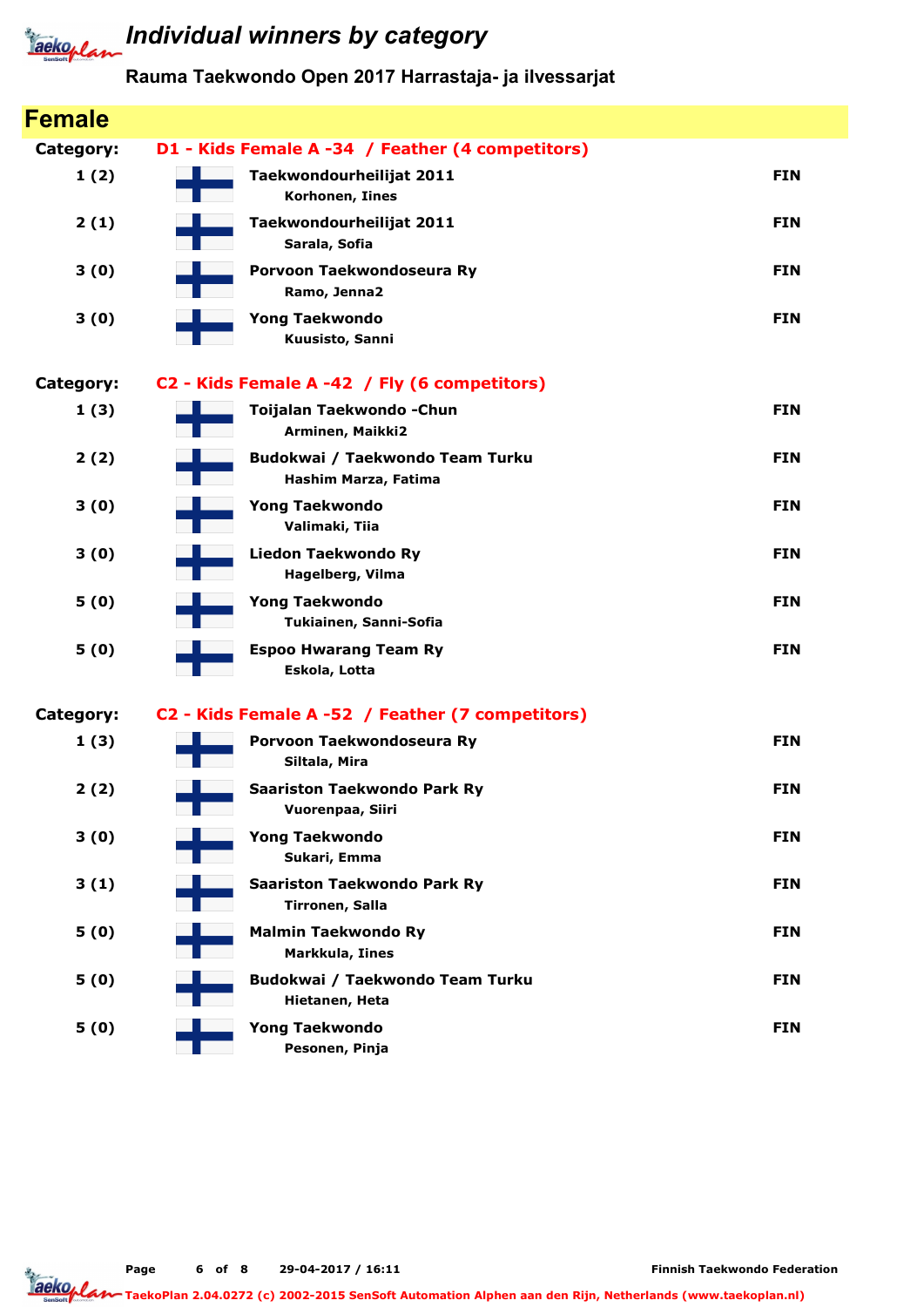

### **Jacko, Land Individual winners by category**

### Rauma Taekwondo Open 2017 Harrastaja- ja ilvessarjat

| <b>Female</b>    |                                                         |            |
|------------------|---------------------------------------------------------|------------|
| <b>Category:</b> | D1 - Kids Female A -34 / Feather (4 competitors)        |            |
| 1(2)             | Taekwondourheilijat 2011<br>Korhonen, Iines             | <b>FIN</b> |
| 2(1)             | Taekwondourheilijat 2011<br>Sarala, Sofia               | <b>FIN</b> |
| 3(0)             | Porvoon Taekwondoseura Ry<br>Ramo, Jenna2               | <b>FIN</b> |
| 3(0)             | <b>Yong Taekwondo</b><br>Kuusisto, Sanni                | <b>FIN</b> |
| <b>Category:</b> | C2 - Kids Female A -42 / Fly (6 competitors)            |            |
| 1(3)             | Toijalan Taekwondo - Chun<br>Arminen, Maikki2           | <b>FIN</b> |
| 2(2)             | Budokwai / Taekwondo Team Turku<br>Hashim Marza, Fatima | <b>FIN</b> |
| 3(0)             | <b>Yong Taekwondo</b><br>Valimaki, Tiia                 | <b>FIN</b> |
| 3(0)             | <b>Liedon Taekwondo Ry</b><br>Hagelberg, Vilma          | <b>FIN</b> |
| 5(0)             | <b>Yong Taekwondo</b><br>Tukiainen, Sanni-Sofia         | <b>FIN</b> |
| 5(0)             | <b>Espoo Hwarang Team Ry</b><br>Eskola, Lotta           | <b>FIN</b> |
| <b>Category:</b> | C2 - Kids Female A -52 / Feather (7 competitors)        |            |
| 1(3)             | Porvoon Taekwondoseura Ry<br>Siltala, Mira              | <b>FIN</b> |
| 2(2)             | Saariston Taekwondo Park Ry<br>Vuorenpaa, Siiri         | <b>FIN</b> |
| 3(0)             | <b>Yong Taekwondo</b><br>Sukari, Emma                   | <b>FIN</b> |
| 3(1)             | <b>Saariston Taekwondo Park Ry</b><br>Tirronen, Salla   | <b>FIN</b> |
| 5(0)             | <b>Malmin Taekwondo Ry</b><br>Markkula, Iines           | <b>FIN</b> |
| 5(0)             | Budokwai / Taekwondo Team Turku<br>Hietanen, Heta       | <b>FIN</b> |
| 5(0)             | <b>Yong Taekwondo</b><br>Pesonen, Pinja                 | <b>FIN</b> |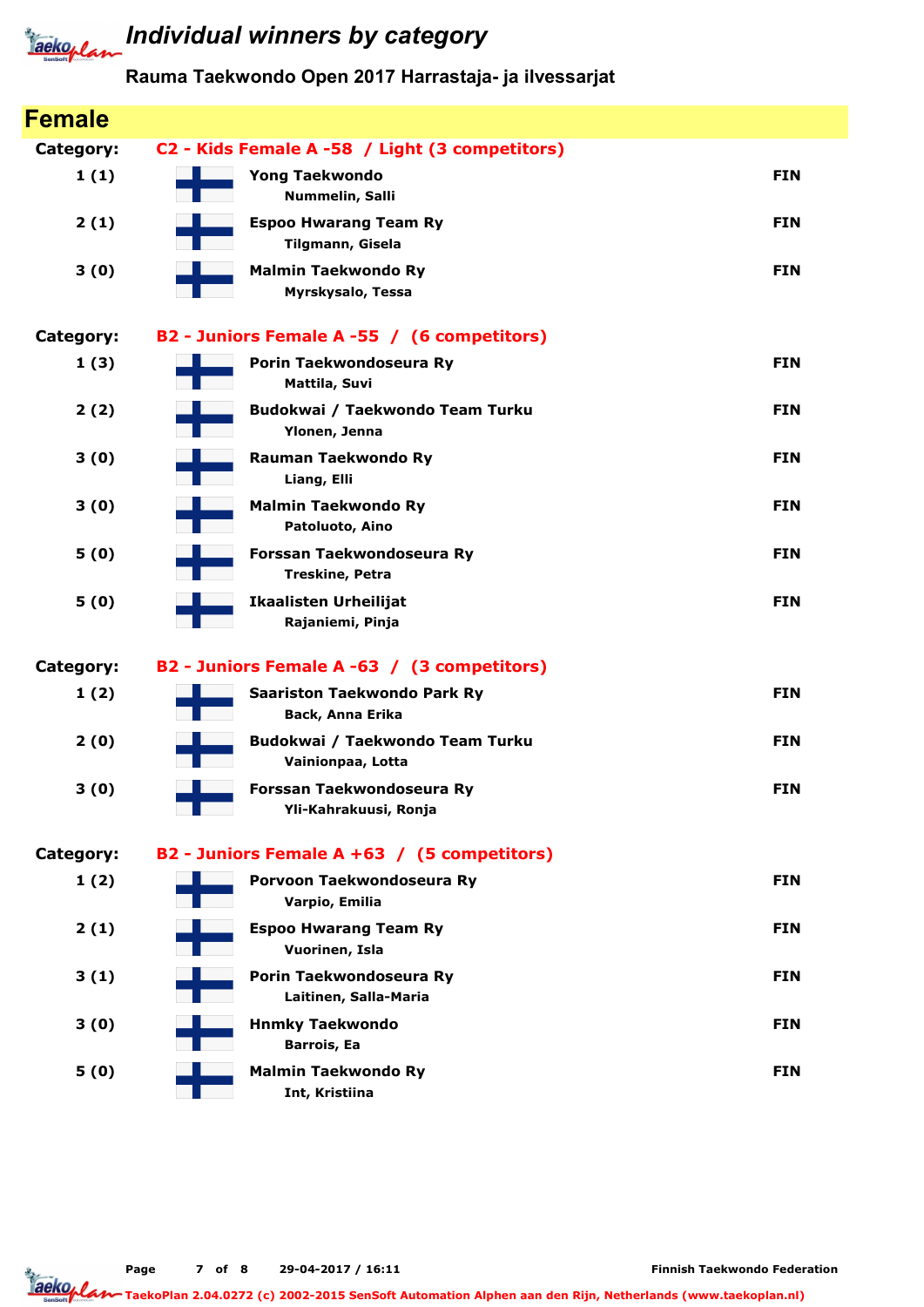

### **Jacko, Land Individual winners by category**

### Rauma Taekwondo Open 2017 Harrastaja- ja ilvessarjat

| <b>Female</b> |                                                        |            |
|---------------|--------------------------------------------------------|------------|
| Category:     | C2 - Kids Female A -58 / Light (3 competitors)         |            |
| 1(1)          | <b>Yong Taekwondo</b><br>Nummelin, Salli               | <b>FIN</b> |
| 2(1)          | <b>Espoo Hwarang Team Ry</b><br>Tilgmann, Gisela       | <b>FIN</b> |
| 3(0)          | <b>Malmin Taekwondo Ry</b><br>Myrskysalo, Tessa        | <b>FIN</b> |
| Category:     | B2 - Juniors Female A -55 / (6 competitors)            |            |
| 1(3)          | Porin Taekwondoseura Ry<br>Mattila, Suvi               | <b>FIN</b> |
| 2(2)          | Budokwai / Taekwondo Team Turku<br>Ylonen, Jenna       | <b>FIN</b> |
| 3(0)          | <b>Rauman Taekwondo Ry</b><br>Liang, Elli              | <b>FIN</b> |
| 3(0)          | <b>Malmin Taekwondo Ry</b><br>Patoluoto, Aino          | <b>FIN</b> |
| 5(0)          | Forssan Taekwondoseura Ry<br><b>Treskine, Petra</b>    | <b>FIN</b> |
| 5(0)          | <b>Ikaalisten Urheilijat</b><br>Rajaniemi, Pinja       | <b>FIN</b> |
| Category:     | B2 - Juniors Female A -63 / (3 competitors)            |            |
| 1(2)          | <b>Saariston Taekwondo Park Ry</b><br>Back, Anna Erika | <b>FIN</b> |
| 2(0)          | Budokwai / Taekwondo Team Turku<br>Vainionpaa, Lotta   | <b>FIN</b> |
| 3(0)          | Forssan Taekwondoseura Ry<br>Yli-Kahrakuusi, Ronja     | <b>FIN</b> |
| Category:     | B2 - Juniors Female A +63 / (5 competitors)            |            |
| 1(2)          | Porvoon Taekwondoseura Ry<br>Varpio, Emilia            | <b>FIN</b> |
| 2(1)          | <b>Espoo Hwarang Team Ry</b><br>Vuorinen, Isla         | <b>FIN</b> |
| 3(1)          | Porin Taekwondoseura Ry<br>Laitinen, Salla-Maria       | <b>FIN</b> |
| 3(0)          | <b>Hnmky Taekwondo</b><br><b>Barrois, Ea</b>           | <b>FIN</b> |
| 5(0)          | <b>Malmin Taekwondo Ry</b><br>Int, Kristiina           | <b>FIN</b> |